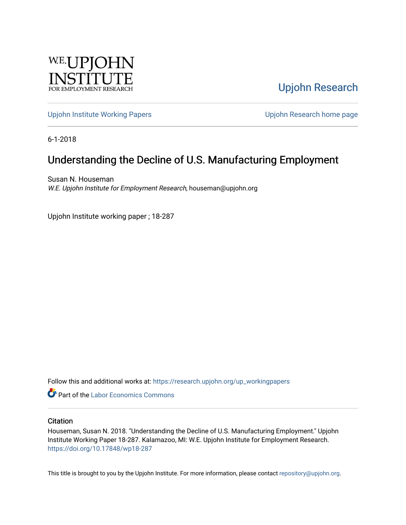

[Upjohn Research](https://research.upjohn.org/) 

[Upjohn Institute Working Papers](https://research.upjohn.org/up_workingpapers) [Upjohn Research home page](https://research.upjohn.org/) 

6-1-2018

# Understanding the Decline of U.S. Manufacturing Employment

Susan N. Houseman W.E. Upjohn Institute for Employment Research, houseman@upjohn.org

Upjohn Institute working paper ; 18-287

Follow this and additional works at: [https://research.upjohn.org/up\\_workingpapers](https://research.upjohn.org/up_workingpapers?utm_source=research.upjohn.org%2Fup_workingpapers%2F287&utm_medium=PDF&utm_campaign=PDFCoverPages)

**C** Part of the [Labor Economics Commons](http://network.bepress.com/hgg/discipline/349?utm_source=research.upjohn.org%2Fup_workingpapers%2F287&utm_medium=PDF&utm_campaign=PDFCoverPages)

#### **Citation**

Houseman, Susan N. 2018. "Understanding the Decline of U.S. Manufacturing Employment." Upjohn Institute Working Paper 18-287. Kalamazoo, MI: W.E. Upjohn Institute for Employment Research. <https://doi.org/10.17848/wp18-287>

This title is brought to you by the Upjohn Institute. For more information, please contact [repository@upjohn.org](mailto:repository@upjohn.org).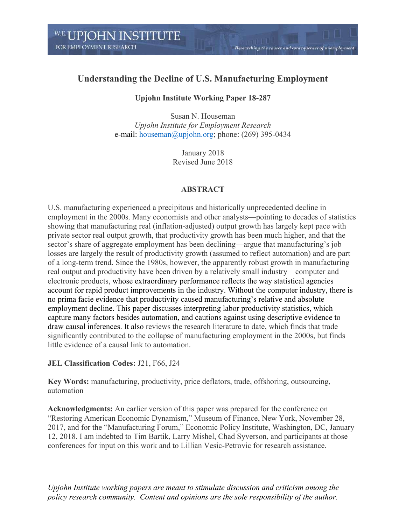## **Understanding the Decline of U.S. Manufacturing Employment**

Researching the causes and consequences of unemployment

## **Upjohn Institute Working Paper 18-287**

Susan N. Houseman *Upjohn Institute for Employment Research* e-mail: [houseman@upjohn.org;](mailto:houseman@upjohn.org) phone: (269) 395-0434

> January 2018 Revised June 2018

## **ABSTRACT**

U.S. manufacturing experienced a precipitous and historically unprecedented decline in employment in the 2000s. Many economists and other analysts—pointing to decades of statistics showing that manufacturing real (inflation-adjusted) output growth has largely kept pace with private sector real output growth, that productivity growth has been much higher, and that the sector's share of aggregate employment has been declining—argue that manufacturing's job losses are largely the result of productivity growth (assumed to reflect automation) and are part of a long-term trend. Since the 1980s, however, the apparently robust growth in manufacturing real output and productivity have been driven by a relatively small industry—computer and electronic products, whose extraordinary performance reflects the way statistical agencies account for rapid product improvements in the industry. Without the computer industry, there is no prima facie evidence that productivity caused manufacturing's relative and absolute employment decline. This paper discusses interpreting labor productivity statistics, which capture many factors besides automation, and cautions against using descriptive evidence to draw causal inferences. It also reviews the research literature to date, which finds that trade significantly contributed to the collapse of manufacturing employment in the 2000s, but finds little evidence of a causal link to automation.

## **JEL Classification Codes:** J21, F66, J24

**Key Words:** manufacturing, productivity, price deflators, trade, offshoring, outsourcing, automation

**Acknowledgments:** An earlier version of this paper was prepared for the conference on "Restoring American Economic Dynamism," Museum of Finance, New York, November 28, 2017, and for the "Manufacturing Forum," Economic Policy Institute, Washington, DC, January 12, 2018. I am indebted to Tim Bartik, Larry Mishel, Chad Syverson, and participants at those conferences for input on this work and to Lillian Vesic-Petrovic for research assistance.

*Upjohn Institute working papers are meant to stimulate discussion and criticism among the policy research community. Content and opinions are the sole responsibility of the author.*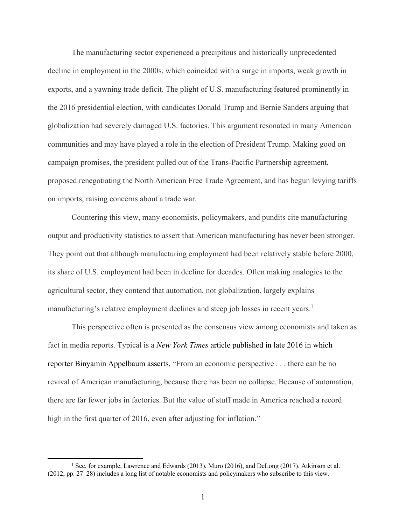The manufacturing sector experienced a precipitous and historically unprecedented decline in employment in the 2000s, which coincided with a surge in imports, weak growth in exports, and a yawning trade deficit. The plight of U.S. manufacturing featured prominently in the 2016 presidential election, with candidates Donald Trump and Bernie Sanders arguing that globalization had severely damaged U.S. factories. This argument resonated in many American communities and may have played a role in the election of President Trump. Making good on campaign promises, the president pulled out of the Trans-Pacific Partnership agreement, proposed renegotiating the North American Free Trade Agreement, and has begun levying tariffs on imports, raising concerns about a trade war.

Countering this view, many economists, policymakers, and pundits cite manufacturing output and productivity statistics to assert that American manufacturing has never been stronger. They point out that although manufacturing employment had been relatively stable before 2000, its share of U.S. employment had been in decline for decades. Often making analogies to the agricultural sector, they contend that automation, not globalization, largely explains manufacturing's relative employment declines and steep job losses in recent years. 1

This perspective often is presented as the consensus view among economists and taken as fact in media reports. Typical is a *New York Times* article published in late 2016 in which reporter Binyamin Appelbaum asserts, "From an economic perspective . . . there can be no revival of American manufacturing, because there has been no collapse. Because of automation, there are far fewer jobs in factories. But the value of stuff made in America reached a record high in the first quarter of 2016, even after adjusting for inflation."

<sup>1</sup> See, for example, Lawrence and Edwards (2013), Muro (2016), and DeLong (2017). Atkinson et al. (2012, pp. 27–28) includes a long list of notable economists and policymakers who subscribe to this view.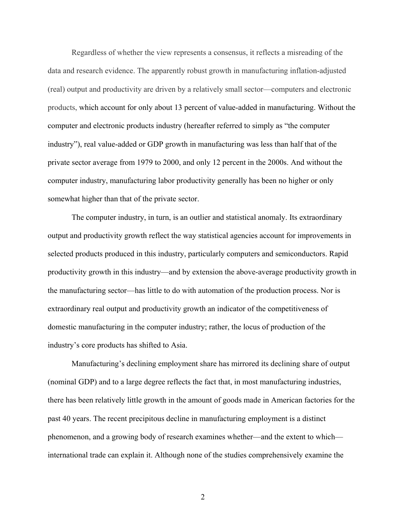Regardless of whether the view represents a consensus, it reflects a misreading of the data and research evidence. The apparently robust growth in manufacturing inflation-adjusted (real) output and productivity are driven by a relatively small sector—computers and electronic products, which account for only about 13 percent of value-added in manufacturing. Without the computer and electronic products industry (hereafter referred to simply as "the computer industry"), real value-added or GDP growth in manufacturing was less than half that of the private sector average from 1979 to 2000, and only 12 percent in the 2000s. And without the computer industry, manufacturing labor productivity generally has been no higher or only somewhat higher than that of the private sector.

The computer industry, in turn, is an outlier and statistical anomaly. Its extraordinary output and productivity growth reflect the way statistical agencies account for improvements in selected products produced in this industry, particularly computers and semiconductors. Rapid productivity growth in this industry—and by extension the above-average productivity growth in the manufacturing sector—has little to do with automation of the production process. Nor is extraordinary real output and productivity growth an indicator of the competitiveness of domestic manufacturing in the computer industry; rather, the locus of production of the industry's core products has shifted to Asia.

Manufacturing's declining employment share has mirrored its declining share of output (nominal GDP) and to a large degree reflects the fact that, in most manufacturing industries, there has been relatively little growth in the amount of goods made in American factories for the past 40 years. The recent precipitous decline in manufacturing employment is a distinct phenomenon, and a growing body of research examines whether—and the extent to which international trade can explain it. Although none of the studies comprehensively examine the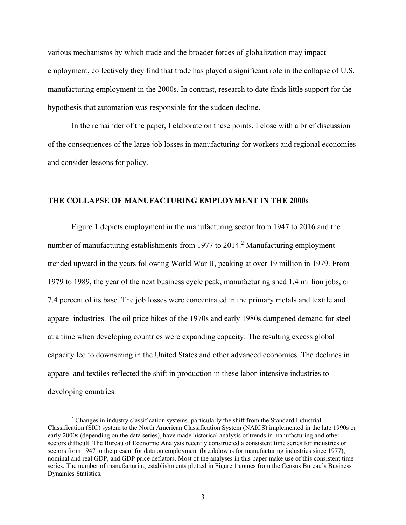various mechanisms by which trade and the broader forces of globalization may impact employment, collectively they find that trade has played a significant role in the collapse of U.S. manufacturing employment in the 2000s. In contrast, research to date finds little support for the hypothesis that automation was responsible for the sudden decline.

In the remainder of the paper, I elaborate on these points. I close with a brief discussion of the consequences of the large job losses in manufacturing for workers and regional economies and consider lessons for policy.

### **THE COLLAPSE OF MANUFACTURING EMPLOYMENT IN THE 2000s**

Figure 1 depicts employment in the manufacturing sector from 1947 to 2016 and the number of manufacturing establishments from 1977 to 2014.<sup>2</sup> Manufacturing employment trended upward in the years following World War II, peaking at over 19 million in 1979. From 1979 to 1989, the year of the next business cycle peak, manufacturing shed 1.4 million jobs, or 7.4 percent of its base. The job losses were concentrated in the primary metals and textile and apparel industries. The oil price hikes of the 1970s and early 1980s dampened demand for steel at a time when developing countries were expanding capacity. The resulting excess global capacity led to downsizing in the United States and other advanced economies. The declines in apparel and textiles reflected the shift in production in these labor-intensive industries to developing countries.

<sup>&</sup>lt;sup>2</sup> Changes in industry classification systems, particularly the shift from the Standard Industrial Classification (SIC) system to the North American Classification System (NAICS) implemented in the late 1990s or early 2000s (depending on the data series), have made historical analysis of trends in manufacturing and other sectors difficult. The Bureau of Economic Analysis recently constructed a consistent time series for industries or sectors from 1947 to the present for data on employment (breakdowns for manufacturing industries since 1977), nominal and real GDP, and GDP price deflators. Most of the analyses in this paper make use of this consistent time series. The number of manufacturing establishments plotted in Figure 1 comes from the Census Bureau's Business Dynamics Statistics.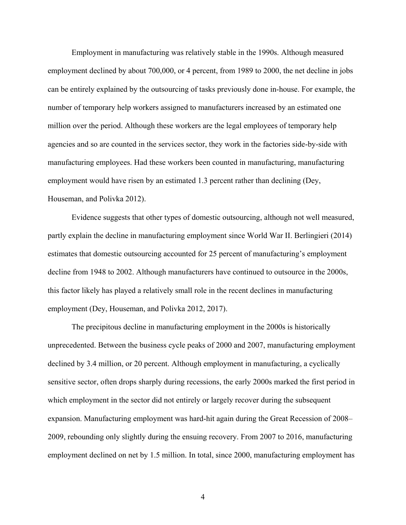Employment in manufacturing was relatively stable in the 1990s. Although measured employment declined by about 700,000, or 4 percent, from 1989 to 2000, the net decline in jobs can be entirely explained by the outsourcing of tasks previously done in-house. For example, the number of temporary help workers assigned to manufacturers increased by an estimated one million over the period. Although these workers are the legal employees of temporary help agencies and so are counted in the services sector, they work in the factories side-by-side with manufacturing employees. Had these workers been counted in manufacturing, manufacturing employment would have risen by an estimated 1.3 percent rather than declining (Dey, Houseman, and Polivka 2012).

Evidence suggests that other types of domestic outsourcing, although not well measured, partly explain the decline in manufacturing employment since World War II. Berlingieri (2014) estimates that domestic outsourcing accounted for 25 percent of manufacturing's employment decline from 1948 to 2002. Although manufacturers have continued to outsource in the 2000s, this factor likely has played a relatively small role in the recent declines in manufacturing employment (Dey, Houseman, and Polivka 2012, 2017).

The precipitous decline in manufacturing employment in the 2000s is historically unprecedented. Between the business cycle peaks of 2000 and 2007, manufacturing employment declined by 3.4 million, or 20 percent. Although employment in manufacturing, a cyclically sensitive sector, often drops sharply during recessions, the early 2000s marked the first period in which employment in the sector did not entirely or largely recover during the subsequent expansion. Manufacturing employment was hard-hit again during the Great Recession of 2008– 2009, rebounding only slightly during the ensuing recovery. From 2007 to 2016, manufacturing employment declined on net by 1.5 million. In total, since 2000, manufacturing employment has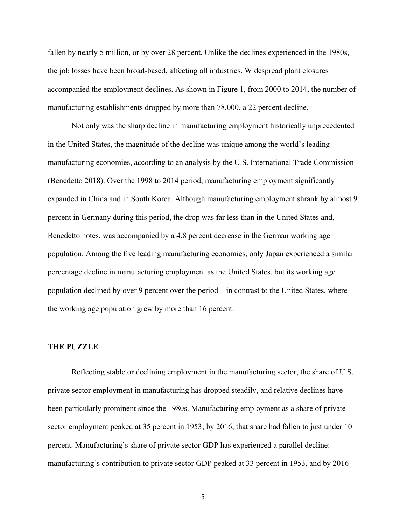fallen by nearly 5 million, or by over 28 percent. Unlike the declines experienced in the 1980s, the job losses have been broad-based, affecting all industries. Widespread plant closures accompanied the employment declines. As shown in Figure 1, from 2000 to 2014, the number of manufacturing establishments dropped by more than 78,000, a 22 percent decline.

Not only was the sharp decline in manufacturing employment historically unprecedented in the United States, the magnitude of the decline was unique among the world's leading manufacturing economies, according to an analysis by the U.S. International Trade Commission (Benedetto 2018). Over the 1998 to 2014 period, manufacturing employment significantly expanded in China and in South Korea. Although manufacturing employment shrank by almost 9 percent in Germany during this period, the drop was far less than in the United States and, Benedetto notes, was accompanied by a 4.8 percent decrease in the German working age population. Among the five leading manufacturing economies, only Japan experienced a similar percentage decline in manufacturing employment as the United States, but its working age population declined by over 9 percent over the period—in contrast to the United States, where the working age population grew by more than 16 percent.

#### **THE PUZZLE**

Reflecting stable or declining employment in the manufacturing sector, the share of U.S. private sector employment in manufacturing has dropped steadily, and relative declines have been particularly prominent since the 1980s. Manufacturing employment as a share of private sector employment peaked at 35 percent in 1953; by 2016, that share had fallen to just under 10 percent. Manufacturing's share of private sector GDP has experienced a parallel decline: manufacturing's contribution to private sector GDP peaked at 33 percent in 1953, and by 2016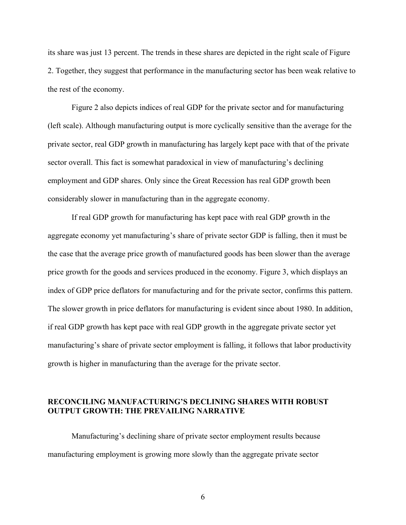its share was just 13 percent. The trends in these shares are depicted in the right scale of Figure 2. Together, they suggest that performance in the manufacturing sector has been weak relative to the rest of the economy.

Figure 2 also depicts indices of real GDP for the private sector and for manufacturing (left scale). Although manufacturing output is more cyclically sensitive than the average for the private sector, real GDP growth in manufacturing has largely kept pace with that of the private sector overall. This fact is somewhat paradoxical in view of manufacturing's declining employment and GDP shares. Only since the Great Recession has real GDP growth been considerably slower in manufacturing than in the aggregate economy.

If real GDP growth for manufacturing has kept pace with real GDP growth in the aggregate economy yet manufacturing's share of private sector GDP is falling, then it must be the case that the average price growth of manufactured goods has been slower than the average price growth for the goods and services produced in the economy. Figure 3, which displays an index of GDP price deflators for manufacturing and for the private sector, confirms this pattern. The slower growth in price deflators for manufacturing is evident since about 1980. In addition, if real GDP growth has kept pace with real GDP growth in the aggregate private sector yet manufacturing's share of private sector employment is falling, it follows that labor productivity growth is higher in manufacturing than the average for the private sector.

## **RECONCILING MANUFACTURING'S DECLINING SHARES WITH ROBUST OUTPUT GROWTH: THE PREVAILING NARRATIVE**

Manufacturing's declining share of private sector employment results because manufacturing employment is growing more slowly than the aggregate private sector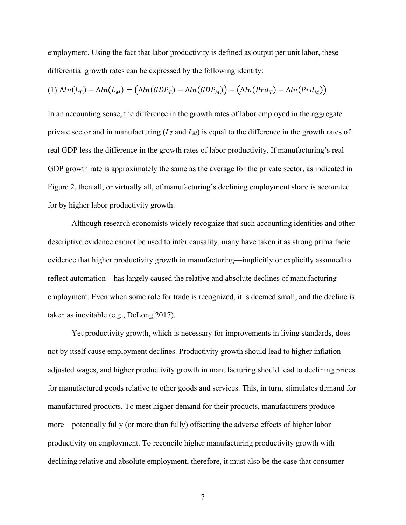employment. Using the fact that labor productivity is defined as output per unit labor, these differential growth rates can be expressed by the following identity:

(1) 
$$
\Delta ln(L_T) - \Delta ln(L_M) = (\Delta ln(GDP_T) - \Delta ln(GDP_M)) - (\Delta ln(Prd_T) - \Delta ln(Prd_M))
$$

In an accounting sense, the difference in the growth rates of labor employed in the aggregate private sector and in manufacturing (*L<sup>T</sup>* and *LM*) is equal to the difference in the growth rates of real GDP less the difference in the growth rates of labor productivity. If manufacturing's real GDP growth rate is approximately the same as the average for the private sector, as indicated in Figure 2, then all, or virtually all, of manufacturing's declining employment share is accounted for by higher labor productivity growth.

Although research economists widely recognize that such accounting identities and other descriptive evidence cannot be used to infer causality, many have taken it as strong prima facie evidence that higher productivity growth in manufacturing—implicitly or explicitly assumed to reflect automation—has largely caused the relative and absolute declines of manufacturing employment. Even when some role for trade is recognized, it is deemed small, and the decline is taken as inevitable (e.g., DeLong 2017).

Yet productivity growth, which is necessary for improvements in living standards, does not by itself cause employment declines. Productivity growth should lead to higher inflationadjusted wages, and higher productivity growth in manufacturing should lead to declining prices for manufactured goods relative to other goods and services. This, in turn, stimulates demand for manufactured products. To meet higher demand for their products, manufacturers produce more—potentially fully (or more than fully) offsetting the adverse effects of higher labor productivity on employment. To reconcile higher manufacturing productivity growth with declining relative and absolute employment, therefore, it must also be the case that consumer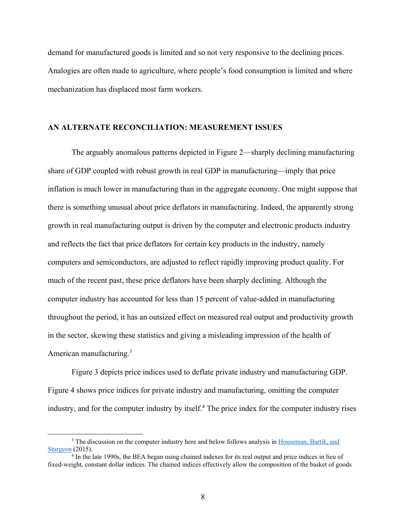demand for manufactured goods is limited and so not very responsive to the declining prices. Analogies are often made to agriculture, where people's food consumption is limited and where mechanization has displaced most farm workers.

#### **AN ALTERNATE RECONCILIATION: MEASUREMENT ISSUES**

The arguably anomalous patterns depicted in Figure 2—sharply declining manufacturing share of GDP coupled with robust growth in real GDP in manufacturing—imply that price inflation is much lower in manufacturing than in the aggregate economy. One might suppose that there is something unusual about price deflators in manufacturing. Indeed, the apparently strong growth in real manufacturing output is driven by the computer and electronic products industry and reflects the fact that price deflators for certain key products in the industry, namely computers and semiconductors, are adjusted to reflect rapidly improving product quality. For much of the recent past, these price deflators have been sharply declining. Although the computer industry has accounted for less than 15 percent of value-added in manufacturing throughout the period, it has an outsized effect on measured real output and productivity growth in the sector, skewing these statistics and giving a misleading impression of the health of American manufacturing.<sup>3</sup>

Figure 3 depicts price indices used to deflate private industry and manufacturing GDP. Figure 4 shows price indices for private industry and manufacturing, omitting the computer industry, and for the computer industry by itself.<sup>4</sup> The price index for the computer industry rises

<sup>&</sup>lt;sup>3</sup> The discussion on the computer industry here and below follows analysis in [Houseman, Bartik,](http://research.upjohn.org/up_press/232/) and [Sturgeon](http://research.upjohn.org/up_press/232/) (2015).

<sup>&</sup>lt;sup>4</sup> In the late 1990s, the BEA began using chained indexes for its real output and price indices in lieu of fixed-weight, constant dollar indices. The chained indices effectively allow the composition of the basket of goods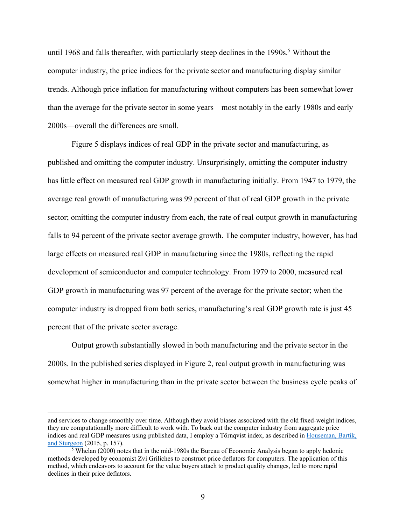until 1968 and falls thereafter, with particularly steep declines in the 1990s.<sup>5</sup> Without the computer industry, the price indices for the private sector and manufacturing display similar trends. Although price inflation for manufacturing without computers has been somewhat lower than the average for the private sector in some years—most notably in the early 1980s and early 2000s—overall the differences are small.

Figure 5 displays indices of real GDP in the private sector and manufacturing, as published and omitting the computer industry. Unsurprisingly, omitting the computer industry has little effect on measured real GDP growth in manufacturing initially. From 1947 to 1979, the average real growth of manufacturing was 99 percent of that of real GDP growth in the private sector; omitting the computer industry from each, the rate of real output growth in manufacturing falls to 94 percent of the private sector average growth. The computer industry, however, has had large effects on measured real GDP in manufacturing since the 1980s, reflecting the rapid development of semiconductor and computer technology. From 1979 to 2000, measured real GDP growth in manufacturing was 97 percent of the average for the private sector; when the computer industry is dropped from both series, manufacturing's real GDP growth rate is just 45 percent that of the private sector average.

Output growth substantially slowed in both manufacturing and the private sector in the 2000s. In the published series displayed in Figure 2, real output growth in manufacturing was somewhat higher in manufacturing than in the private sector between the business cycle peaks of

and services to change smoothly over time. Although they avoid biases associated with the old fixed-weight indices, they are computationally more difficult to work with. To back out the computer industry from aggregate price indices and real GDP measures using published data, I employ a Törnqvist index, as described in [Houseman, Bartik,](http://research.upjohn.org/up_press/232/)  [and Sturgeon](http://research.upjohn.org/up_press/232/) (2015, p. 157).

<sup>5</sup> Whelan (2000) notes that in the mid-1980s the Bureau of Economic Analysis began to apply hedonic methods developed by economist Zvi Griliches to construct price deflators for computers. The application of this method, which endeavors to account for the value buyers attach to product quality changes, led to more rapid declines in their price deflators.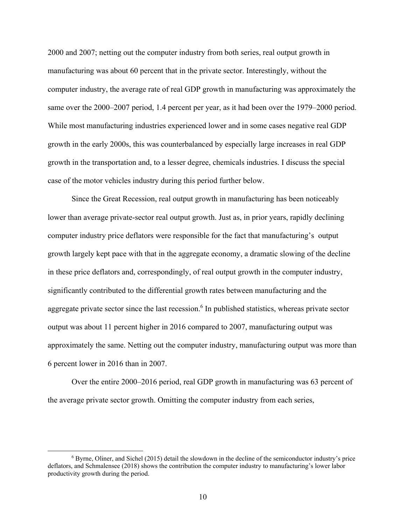2000 and 2007; netting out the computer industry from both series, real output growth in manufacturing was about 60 percent that in the private sector. Interestingly, without the computer industry, the average rate of real GDP growth in manufacturing was approximately the same over the 2000–2007 period, 1.4 percent per year, as it had been over the 1979–2000 period. While most manufacturing industries experienced lower and in some cases negative real GDP growth in the early 2000s, this was counterbalanced by especially large increases in real GDP growth in the transportation and, to a lesser degree, chemicals industries. I discuss the special case of the motor vehicles industry during this period further below.

Since the Great Recession, real output growth in manufacturing has been noticeably lower than average private-sector real output growth. Just as, in prior years, rapidly declining computer industry price deflators were responsible for the fact that manufacturing's output growth largely kept pace with that in the aggregate economy, a dramatic slowing of the decline in these price deflators and, correspondingly, of real output growth in the computer industry, significantly contributed to the differential growth rates between manufacturing and the aggregate private sector since the last recession.<sup>6</sup> In published statistics, whereas private sector output was about 11 percent higher in 2016 compared to 2007, manufacturing output was approximately the same. Netting out the computer industry, manufacturing output was more than 6 percent lower in 2016 than in 2007.

Over the entire 2000–2016 period, real GDP growth in manufacturing was 63 percent of the average private sector growth. Omitting the computer industry from each series,

<sup>6</sup> Byrne, Oliner, and Sichel (2015) detail the slowdown in the decline of the semiconductor industry's price deflators, and Schmalensee (2018) shows the contribution the computer industry to manufacturing's lower labor productivity growth during the period.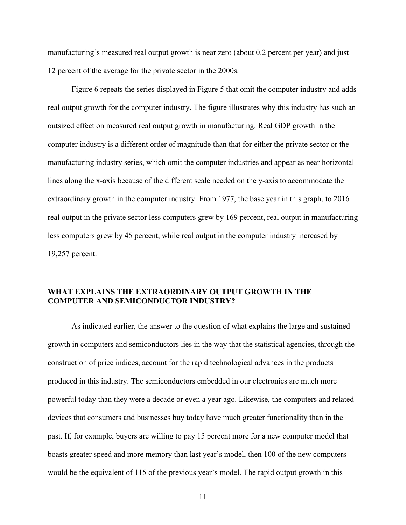manufacturing's measured real output growth is near zero (about 0.2 percent per year) and just 12 percent of the average for the private sector in the 2000s.

Figure 6 repeats the series displayed in Figure 5 that omit the computer industry and adds real output growth for the computer industry. The figure illustrates why this industry has such an outsized effect on measured real output growth in manufacturing. Real GDP growth in the computer industry is a different order of magnitude than that for either the private sector or the manufacturing industry series, which omit the computer industries and appear as near horizontal lines along the x-axis because of the different scale needed on the y-axis to accommodate the extraordinary growth in the computer industry. From 1977, the base year in this graph, to 2016 real output in the private sector less computers grew by 169 percent, real output in manufacturing less computers grew by 45 percent, while real output in the computer industry increased by 19,257 percent.

## **WHAT EXPLAINS THE EXTRAORDINARY OUTPUT GROWTH IN THE COMPUTER AND SEMICONDUCTOR INDUSTRY?**

As indicated earlier, the answer to the question of what explains the large and sustained growth in computers and semiconductors lies in the way that the statistical agencies, through the construction of price indices, account for the rapid technological advances in the products produced in this industry. The semiconductors embedded in our electronics are much more powerful today than they were a decade or even a year ago. Likewise, the computers and related devices that consumers and businesses buy today have much greater functionality than in the past. If, for example, buyers are willing to pay 15 percent more for a new computer model that boasts greater speed and more memory than last year's model, then 100 of the new computers would be the equivalent of 115 of the previous year's model. The rapid output growth in this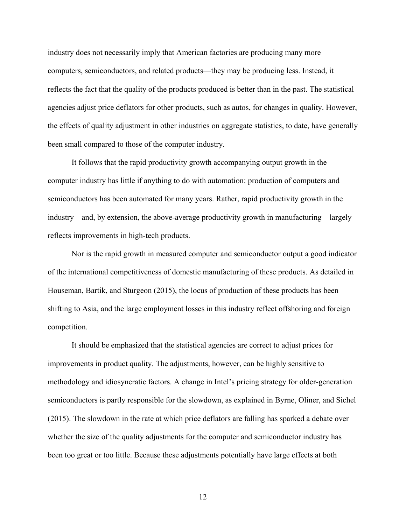industry does not necessarily imply that American factories are producing many more computers, semiconductors, and related products—they may be producing less. Instead, it reflects the fact that the quality of the products produced is better than in the past. The statistical agencies adjust price deflators for other products, such as autos, for changes in quality. However, the effects of quality adjustment in other industries on aggregate statistics, to date, have generally been small compared to those of the computer industry.

It follows that the rapid productivity growth accompanying output growth in the computer industry has little if anything to do with automation: production of computers and semiconductors has been automated for many years. Rather, rapid productivity growth in the industry—and, by extension, the above-average productivity growth in manufacturing—largely reflects improvements in high-tech products.

Nor is the rapid growth in measured computer and semiconductor output a good indicator of the international competitiveness of domestic manufacturing of these products. As detailed in Houseman, Bartik, and Sturgeon (2015), the locus of production of these products has been shifting to Asia, and the large employment losses in this industry reflect offshoring and foreign competition.

It should be emphasized that the statistical agencies are correct to adjust prices for improvements in product quality. The adjustments, however, can be highly sensitive to methodology and idiosyncratic factors. A change in Intel's pricing strategy for older-generation semiconductors is partly responsible for the slowdown, as explained in Byrne, Oliner, and Sichel (2015). The slowdown in the rate at which price deflators are falling has sparked a debate over whether the size of the quality adjustments for the computer and semiconductor industry has been too great or too little. Because these adjustments potentially have large effects at both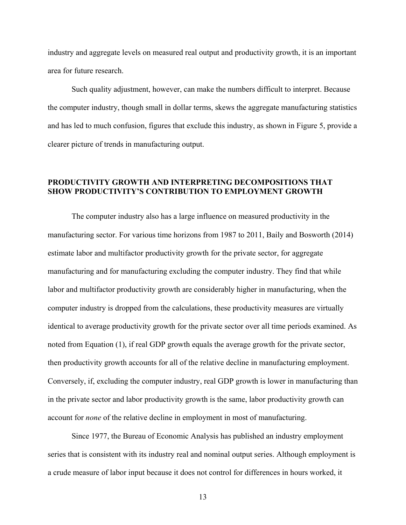industry and aggregate levels on measured real output and productivity growth, it is an important area for future research.

Such quality adjustment, however, can make the numbers difficult to interpret. Because the computer industry, though small in dollar terms, skews the aggregate manufacturing statistics and has led to much confusion, figures that exclude this industry, as shown in Figure 5, provide a clearer picture of trends in manufacturing output.

## **PRODUCTIVITY GROWTH AND INTERPRETING DECOMPOSITIONS THAT SHOW PRODUCTIVITY'S CONTRIBUTION TO EMPLOYMENT GROWTH**

The computer industry also has a large influence on measured productivity in the manufacturing sector. For various time horizons from 1987 to 2011, Baily and Bosworth (2014) estimate labor and multifactor productivity growth for the private sector, for aggregate manufacturing and for manufacturing excluding the computer industry. They find that while labor and multifactor productivity growth are considerably higher in manufacturing, when the computer industry is dropped from the calculations, these productivity measures are virtually identical to average productivity growth for the private sector over all time periods examined. As noted from Equation (1), if real GDP growth equals the average growth for the private sector, then productivity growth accounts for all of the relative decline in manufacturing employment. Conversely, if, excluding the computer industry, real GDP growth is lower in manufacturing than in the private sector and labor productivity growth is the same, labor productivity growth can account for *none* of the relative decline in employment in most of manufacturing.

Since 1977, the Bureau of Economic Analysis has published an industry employment series that is consistent with its industry real and nominal output series. Although employment is a crude measure of labor input because it does not control for differences in hours worked, it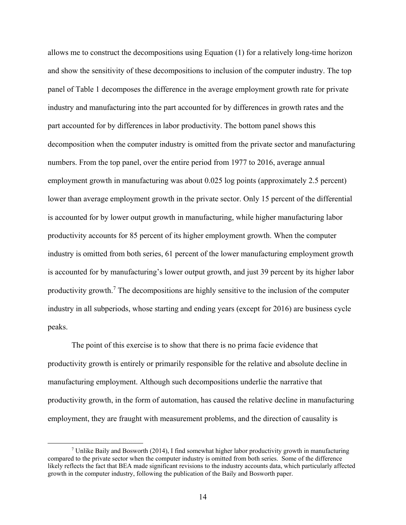allows me to construct the decompositions using Equation (1) for a relatively long-time horizon and show the sensitivity of these decompositions to inclusion of the computer industry. The top panel of Table 1 decomposes the difference in the average employment growth rate for private industry and manufacturing into the part accounted for by differences in growth rates and the part accounted for by differences in labor productivity. The bottom panel shows this decomposition when the computer industry is omitted from the private sector and manufacturing numbers. From the top panel, over the entire period from 1977 to 2016, average annual employment growth in manufacturing was about 0.025 log points (approximately 2.5 percent) lower than average employment growth in the private sector. Only 15 percent of the differential is accounted for by lower output growth in manufacturing, while higher manufacturing labor productivity accounts for 85 percent of its higher employment growth. When the computer industry is omitted from both series, 61 percent of the lower manufacturing employment growth is accounted for by manufacturing's lower output growth, and just 39 percent by its higher labor productivity growth.<sup>7</sup> The decompositions are highly sensitive to the inclusion of the computer industry in all subperiods, whose starting and ending years (except for 2016) are business cycle peaks.

The point of this exercise is to show that there is no prima facie evidence that productivity growth is entirely or primarily responsible for the relative and absolute decline in manufacturing employment. Although such decompositions underlie the narrative that productivity growth, in the form of automation, has caused the relative decline in manufacturing employment, they are fraught with measurement problems, and the direction of causality is

<sup>7</sup> Unlike Baily and Bosworth (2014), I find somewhat higher labor productivity growth in manufacturing compared to the private sector when the computer industry is omitted from both series. Some of the difference likely reflects the fact that BEA made significant revisions to the industry accounts data, which particularly affected growth in the computer industry, following the publication of the Baily and Bosworth paper.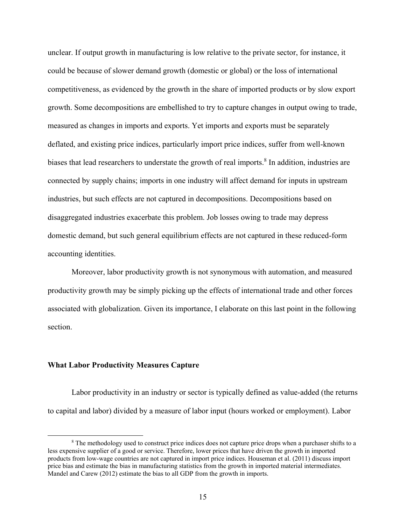unclear. If output growth in manufacturing is low relative to the private sector, for instance, it could be because of slower demand growth (domestic or global) or the loss of international competitiveness, as evidenced by the growth in the share of imported products or by slow export growth. Some decompositions are embellished to try to capture changes in output owing to trade, measured as changes in imports and exports. Yet imports and exports must be separately deflated, and existing price indices, particularly import price indices, suffer from well-known biases that lead researchers to understate the growth of real imports.<sup>8</sup> In addition, industries are connected by supply chains; imports in one industry will affect demand for inputs in upstream industries, but such effects are not captured in decompositions. Decompositions based on disaggregated industries exacerbate this problem. Job losses owing to trade may depress domestic demand, but such general equilibrium effects are not captured in these reduced-form accounting identities.

Moreover, labor productivity growth is not synonymous with automation, and measured productivity growth may be simply picking up the effects of international trade and other forces associated with globalization. Given its importance, I elaborate on this last point in the following section.

#### **What Labor Productivity Measures Capture**

 $\overline{a}$ 

Labor productivity in an industry or sector is typically defined as value-added (the returns to capital and labor) divided by a measure of labor input (hours worked or employment). Labor

<sup>&</sup>lt;sup>8</sup> The methodology used to construct price indices does not capture price drops when a purchaser shifts to a less expensive supplier of a good or service. Therefore, lower prices that have driven the growth in imported products from low-wage countries are not captured in import price indices. Houseman et al. (2011) discuss import price bias and estimate the bias in manufacturing statistics from the growth in imported material intermediates. Mandel and Carew (2012) estimate the bias to all GDP from the growth in imports.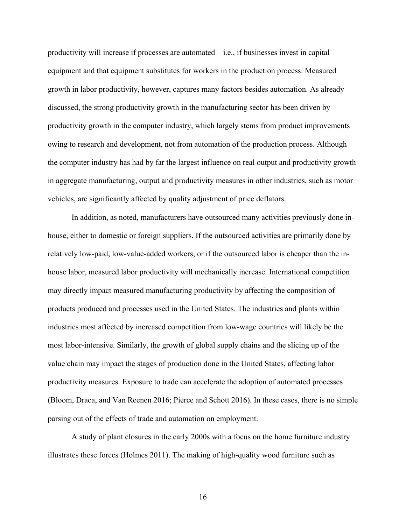productivity will increase if processes are automated—i.e., if businesses invest in capital equipment and that equipment substitutes for workers in the production process. Measured growth in labor productivity, however, captures many factors besides automation. As already discussed, the strong productivity growth in the manufacturing sector has been driven by productivity growth in the computer industry, which largely stems from product improvements owing to research and development, not from automation of the production process. Although the computer industry has had by far the largest influence on real output and productivity growth in aggregate manufacturing, output and productivity measures in other industries, such as motor vehicles, are significantly affected by quality adjustment of price deflators.

In addition, as noted, manufacturers have outsourced many activities previously done inhouse, either to domestic or foreign suppliers. If the outsourced activities are primarily done by relatively low-paid, low-value-added workers, or if the outsourced labor is cheaper than the inhouse labor, measured labor productivity will mechanically increase. International competition may directly impact measured manufacturing productivity by affecting the composition of products produced and processes used in the United States. The industries and plants within industries most affected by increased competition from low-wage countries will likely be the most labor-intensive. Similarly, the growth of global supply chains and the slicing up of the value chain may impact the stages of production done in the United States, affecting labor productivity measures. Exposure to trade can accelerate the adoption of automated processes (Bloom, Draca, and Van Reenen 2016; Pierce and Schott 2016). In these cases, there is no simple parsing out of the effects of trade and automation on employment.

A study of plant closures in the early 2000s with a focus on the home furniture industry illustrates these forces (Holmes 2011). The making of high-quality wood furniture such as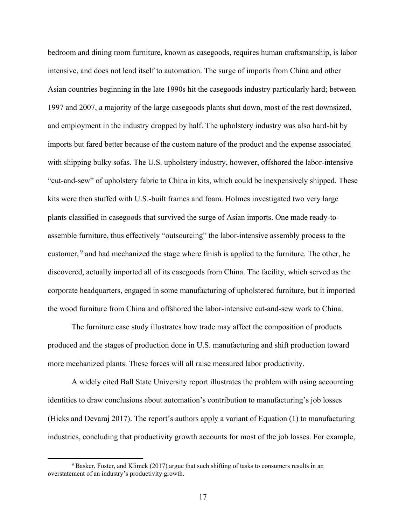bedroom and dining room furniture, known as casegoods, requires human craftsmanship, is labor intensive, and does not lend itself to automation. The surge of imports from China and other Asian countries beginning in the late 1990s hit the casegoods industry particularly hard; between 1997 and 2007, a majority of the large casegoods plants shut down, most of the rest downsized, and employment in the industry dropped by half. The upholstery industry was also hard-hit by imports but fared better because of the custom nature of the product and the expense associated with shipping bulky sofas. The U.S. upholstery industry, however, offshored the labor-intensive "cut-and-sew" of upholstery fabric to China in kits, which could be inexpensively shipped. These kits were then stuffed with U.S.-built frames and foam. Holmes investigated two very large plants classified in casegoods that survived the surge of Asian imports. One made ready-toassemble furniture, thus effectively "outsourcing" the labor-intensive assembly process to the customer, <sup>9</sup> and had mechanized the stage where finish is applied to the furniture. The other, he discovered, actually imported all of its casegoods from China. The facility, which served as the corporate headquarters, engaged in some manufacturing of upholstered furniture, but it imported the wood furniture from China and offshored the labor-intensive cut-and-sew work to China.

The furniture case study illustrates how trade may affect the composition of products produced and the stages of production done in U.S. manufacturing and shift production toward more mechanized plants. These forces will all raise measured labor productivity.

A widely cited Ball State University report illustrates the problem with using accounting identities to draw conclusions about automation's contribution to manufacturing's job losses (Hicks and Devaraj 2017). The report's authors apply a variant of Equation (1) to manufacturing industries, concluding that productivity growth accounts for most of the job losses. For example,

 $9$  Basker, Foster, and Klimek (2017) argue that such shifting of tasks to consumers results in an overstatement of an industry's productivity growth.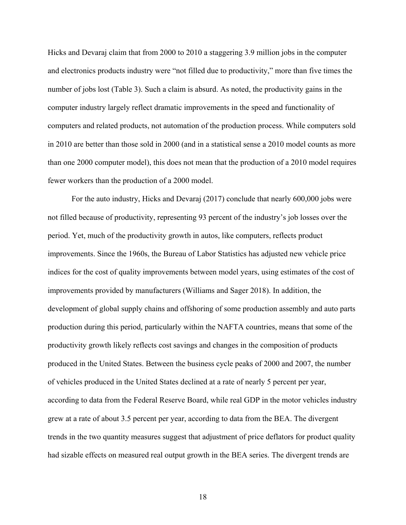Hicks and Devaraj claim that from 2000 to 2010 a staggering 3.9 million jobs in the computer and electronics products industry were "not filled due to productivity," more than five times the number of jobs lost (Table 3). Such a claim is absurd. As noted, the productivity gains in the computer industry largely reflect dramatic improvements in the speed and functionality of computers and related products, not automation of the production process. While computers sold in 2010 are better than those sold in 2000 (and in a statistical sense a 2010 model counts as more than one 2000 computer model), this does not mean that the production of a 2010 model requires fewer workers than the production of a 2000 model.

For the auto industry, Hicks and Devaraj (2017) conclude that nearly 600,000 jobs were not filled because of productivity, representing 93 percent of the industry's job losses over the period. Yet, much of the productivity growth in autos, like computers, reflects product improvements. Since the 1960s, the Bureau of Labor Statistics has adjusted new vehicle price indices for the cost of quality improvements between model years, using estimates of the cost of improvements provided by manufacturers (Williams and Sager 2018). In addition, the development of global supply chains and offshoring of some production assembly and auto parts production during this period, particularly within the NAFTA countries, means that some of the productivity growth likely reflects cost savings and changes in the composition of products produced in the United States. Between the business cycle peaks of 2000 and 2007, the number of vehicles produced in the United States declined at a rate of nearly 5 percent per year, according to data from the Federal Reserve Board, while real GDP in the motor vehicles industry grew at a rate of about 3.5 percent per year, according to data from the BEA. The divergent trends in the two quantity measures suggest that adjustment of price deflators for product quality had sizable effects on measured real output growth in the BEA series. The divergent trends are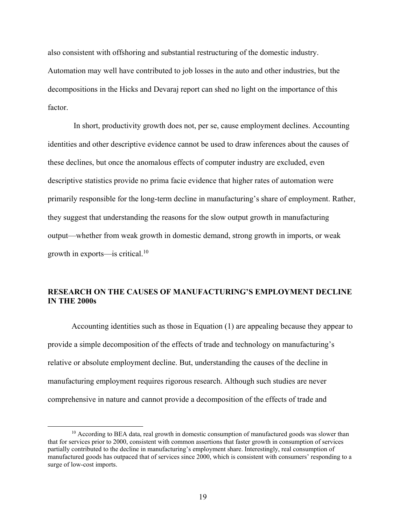also consistent with offshoring and substantial restructuring of the domestic industry. Automation may well have contributed to job losses in the auto and other industries, but the decompositions in the Hicks and Devaraj report can shed no light on the importance of this factor.

In short, productivity growth does not, per se, cause employment declines. Accounting identities and other descriptive evidence cannot be used to draw inferences about the causes of these declines, but once the anomalous effects of computer industry are excluded, even descriptive statistics provide no prima facie evidence that higher rates of automation were primarily responsible for the long-term decline in manufacturing's share of employment. Rather, they suggest that understanding the reasons for the slow output growth in manufacturing output—whether from weak growth in domestic demand, strong growth in imports, or weak growth in exports—is critical.<sup>10</sup>

## **RESEARCH ON THE CAUSES OF MANUFACTURING'S EMPLOYMENT DECLINE IN THE 2000s**

Accounting identities such as those in Equation (1) are appealing because they appear to provide a simple decomposition of the effects of trade and technology on manufacturing's relative or absolute employment decline. But, understanding the causes of the decline in manufacturing employment requires rigorous research. Although such studies are never comprehensive in nature and cannot provide a decomposition of the effects of trade and

<sup>&</sup>lt;sup>10</sup> According to BEA data, real growth in domestic consumption of manufactured goods was slower than that for services prior to 2000, consistent with common assertions that faster growth in consumption of services partially contributed to the decline in manufacturing's employment share. Interestingly, real consumption of manufactured goods has outpaced that of services since 2000, which is consistent with consumers' responding to a surge of low-cost imports.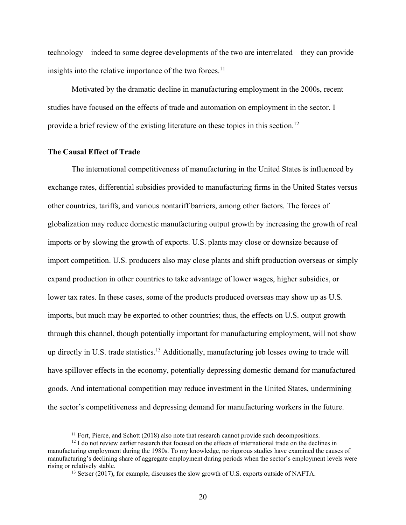technology—indeed to some degree developments of the two are interrelated—they can provide insights into the relative importance of the two forces. $<sup>11</sup>$ </sup>

Motivated by the dramatic decline in manufacturing employment in the 2000s, recent studies have focused on the effects of trade and automation on employment in the sector. I provide a brief review of the existing literature on these topics in this section.<sup>12</sup>

#### **The Causal Effect of Trade**

 $\overline{a}$ 

The international competitiveness of manufacturing in the United States is influenced by exchange rates, differential subsidies provided to manufacturing firms in the United States versus other countries, tariffs, and various nontariff barriers, among other factors. The forces of globalization may reduce domestic manufacturing output growth by increasing the growth of real imports or by slowing the growth of exports. U.S. plants may close or downsize because of import competition. U.S. producers also may close plants and shift production overseas or simply expand production in other countries to take advantage of lower wages, higher subsidies, or lower tax rates. In these cases, some of the products produced overseas may show up as U.S. imports, but much may be exported to other countries; thus, the effects on U.S. output growth through this channel, though potentially important for manufacturing employment, will not show up directly in U.S. trade statistics.<sup>13</sup> Additionally, manufacturing job losses owing to trade will have spillover effects in the economy, potentially depressing domestic demand for manufactured goods. And international competition may reduce investment in the United States, undermining the sector's competitiveness and depressing demand for manufacturing workers in the future.

 $11$  Fort, Pierce, and Schott (2018) also note that research cannot provide such decompositions.

 $12$  I do not review earlier research that focused on the effects of international trade on the declines in manufacturing employment during the 1980s. To my knowledge, no rigorous studies have examined the causes of manufacturing's declining share of aggregate employment during periods when the sector's employment levels were rising or relatively stable.

<sup>&</sup>lt;sup>13</sup> Setser (2017), for example, discusses the slow growth of U.S. exports outside of NAFTA.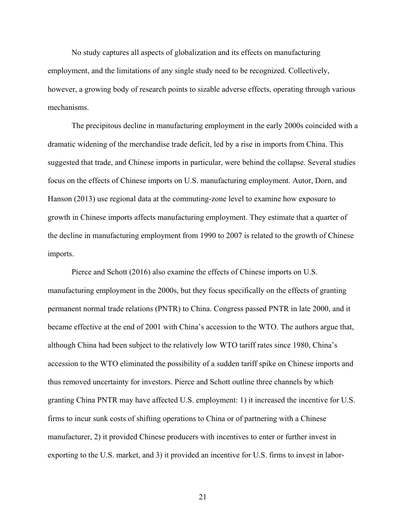No study captures all aspects of globalization and its effects on manufacturing employment, and the limitations of any single study need to be recognized. Collectively, however, a growing body of research points to sizable adverse effects, operating through various mechanisms.

The precipitous decline in manufacturing employment in the early 2000s coincided with a dramatic widening of the merchandise trade deficit, led by a rise in imports from China. This suggested that trade, and Chinese imports in particular, were behind the collapse. Several studies focus on the effects of Chinese imports on U.S. manufacturing employment. Autor, Dorn, and Hanson (2013) use regional data at the commuting-zone level to examine how exposure to growth in Chinese imports affects manufacturing employment. They estimate that a quarter of the decline in manufacturing employment from 1990 to 2007 is related to the growth of Chinese imports.

Pierce and Schott (2016) also examine the effects of Chinese imports on U.S. manufacturing employment in the 2000s, but they focus specifically on the effects of granting permanent normal trade relations (PNTR) to China. Congress passed PNTR in late 2000, and it became effective at the end of 2001 with China's accession to the WTO. The authors argue that, although China had been subject to the relatively low WTO tariff rates since 1980, China's accession to the WTO eliminated the possibility of a sudden tariff spike on Chinese imports and thus removed uncertainty for investors. Pierce and Schott outline three channels by which granting China PNTR may have affected U.S. employment: 1) it increased the incentive for U.S. firms to incur sunk costs of shifting operations to China or of partnering with a Chinese manufacturer, 2) it provided Chinese producers with incentives to enter or further invest in exporting to the U.S. market, and 3) it provided an incentive for U.S. firms to invest in labor-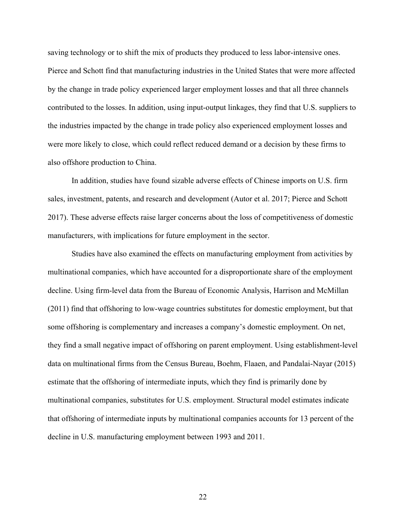saving technology or to shift the mix of products they produced to less labor-intensive ones. Pierce and Schott find that manufacturing industries in the United States that were more affected by the change in trade policy experienced larger employment losses and that all three channels contributed to the losses. In addition, using input-output linkages, they find that U.S. suppliers to the industries impacted by the change in trade policy also experienced employment losses and were more likely to close, which could reflect reduced demand or a decision by these firms to also offshore production to China.

In addition, studies have found sizable adverse effects of Chinese imports on U.S. firm sales, investment, patents, and research and development (Autor et al. 2017; Pierce and Schott 2017). These adverse effects raise larger concerns about the loss of competitiveness of domestic manufacturers, with implications for future employment in the sector.

Studies have also examined the effects on manufacturing employment from activities by multinational companies, which have accounted for a disproportionate share of the employment decline. Using firm-level data from the Bureau of Economic Analysis, Harrison and McMillan (2011) find that offshoring to low-wage countries substitutes for domestic employment, but that some offshoring is complementary and increases a company's domestic employment. On net, they find a small negative impact of offshoring on parent employment. Using establishment-level data on multinational firms from the Census Bureau, Boehm, Flaaen, and Pandalai-Nayar (2015) estimate that the offshoring of intermediate inputs, which they find is primarily done by multinational companies, substitutes for U.S. employment. Structural model estimates indicate that offshoring of intermediate inputs by multinational companies accounts for 13 percent of the decline in U.S. manufacturing employment between 1993 and 2011.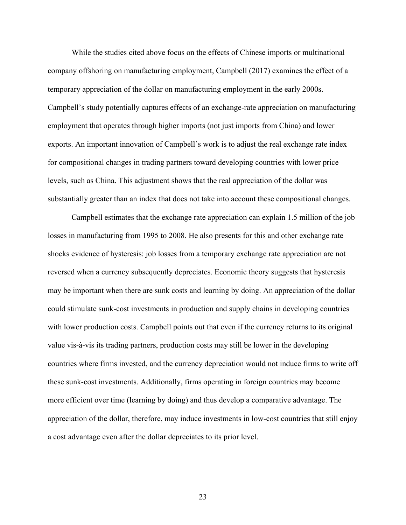While the studies cited above focus on the effects of Chinese imports or multinational company offshoring on manufacturing employment, Campbell (2017) examines the effect of a temporary appreciation of the dollar on manufacturing employment in the early 2000s. Campbell's study potentially captures effects of an exchange-rate appreciation on manufacturing employment that operates through higher imports (not just imports from China) and lower exports. An important innovation of Campbell's work is to adjust the real exchange rate index for compositional changes in trading partners toward developing countries with lower price levels, such as China. This adjustment shows that the real appreciation of the dollar was substantially greater than an index that does not take into account these compositional changes.

Campbell estimates that the exchange rate appreciation can explain 1.5 million of the job losses in manufacturing from 1995 to 2008. He also presents for this and other exchange rate shocks evidence of hysteresis: job losses from a temporary exchange rate appreciation are not reversed when a currency subsequently depreciates. Economic theory suggests that hysteresis may be important when there are sunk costs and learning by doing. An appreciation of the dollar could stimulate sunk-cost investments in production and supply chains in developing countries with lower production costs. Campbell points out that even if the currency returns to its original value vis-à-vis its trading partners, production costs may still be lower in the developing countries where firms invested, and the currency depreciation would not induce firms to write off these sunk-cost investments. Additionally, firms operating in foreign countries may become more efficient over time (learning by doing) and thus develop a comparative advantage. The appreciation of the dollar, therefore, may induce investments in low-cost countries that still enjoy a cost advantage even after the dollar depreciates to its prior level.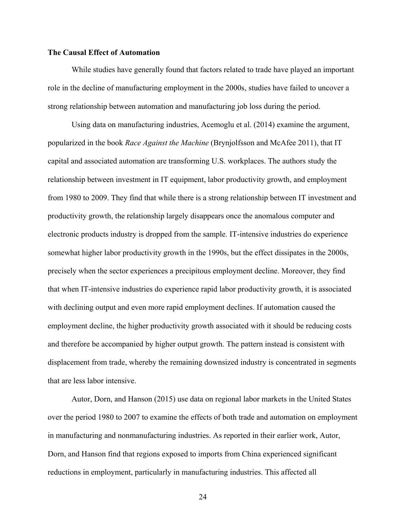#### **The Causal Effect of Automation**

While studies have generally found that factors related to trade have played an important role in the decline of manufacturing employment in the 2000s, studies have failed to uncover a strong relationship between automation and manufacturing job loss during the period.

Using data on manufacturing industries, Acemoglu et al. (2014) examine the argument, popularized in the book *Race Against the Machine* (Brynjolfsson and McAfee 2011), that IT capital and associated automation are transforming U.S. workplaces. The authors study the relationship between investment in IT equipment, labor productivity growth, and employment from 1980 to 2009. They find that while there is a strong relationship between IT investment and productivity growth, the relationship largely disappears once the anomalous computer and electronic products industry is dropped from the sample. IT-intensive industries do experience somewhat higher labor productivity growth in the 1990s, but the effect dissipates in the 2000s, precisely when the sector experiences a precipitous employment decline. Moreover, they find that when IT-intensive industries do experience rapid labor productivity growth, it is associated with declining output and even more rapid employment declines. If automation caused the employment decline, the higher productivity growth associated with it should be reducing costs and therefore be accompanied by higher output growth. The pattern instead is consistent with displacement from trade, whereby the remaining downsized industry is concentrated in segments that are less labor intensive.

Autor, Dorn, and Hanson (2015) use data on regional labor markets in the United States over the period 1980 to 2007 to examine the effects of both trade and automation on employment in manufacturing and nonmanufacturing industries. As reported in their earlier work, Autor, Dorn, and Hanson find that regions exposed to imports from China experienced significant reductions in employment, particularly in manufacturing industries. This affected all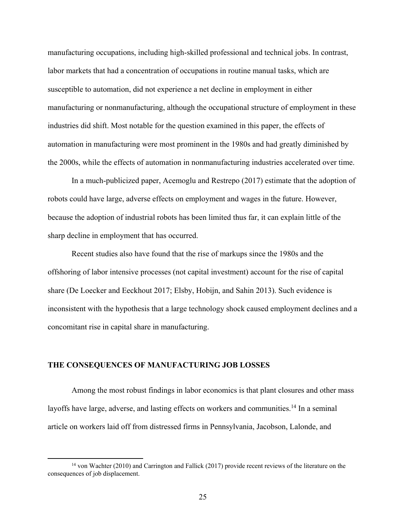manufacturing occupations, including high-skilled professional and technical jobs. In contrast, labor markets that had a concentration of occupations in routine manual tasks, which are susceptible to automation, did not experience a net decline in employment in either manufacturing or nonmanufacturing, although the occupational structure of employment in these industries did shift. Most notable for the question examined in this paper, the effects of automation in manufacturing were most prominent in the 1980s and had greatly diminished by the 2000s, while the effects of automation in nonmanufacturing industries accelerated over time.

In a much-publicized paper, Acemoglu and Restrepo (2017) estimate that the adoption of robots could have large, adverse effects on employment and wages in the future. However, because the adoption of industrial robots has been limited thus far, it can explain little of the sharp decline in employment that has occurred.

Recent studies also have found that the rise of markups since the 1980s and the offshoring of labor intensive processes (not capital investment) account for the rise of capital share (De Loecker and Eeckhout 2017; Elsby, Hobijn, and Sahin 2013). Such evidence is inconsistent with the hypothesis that a large technology shock caused employment declines and a concomitant rise in capital share in manufacturing.

## **THE CONSEQUENCES OF MANUFACTURING JOB LOSSES**

 $\overline{a}$ 

Among the most robust findings in labor economics is that plant closures and other mass layoffs have large, adverse, and lasting effects on workers and communities.<sup>14</sup> In a seminal article on workers laid off from distressed firms in Pennsylvania, Jacobson, Lalonde, and

<sup>14</sup> von Wachter (2010) and Carrington and Fallick (2017) provide recent reviews of the literature on the consequences of job displacement.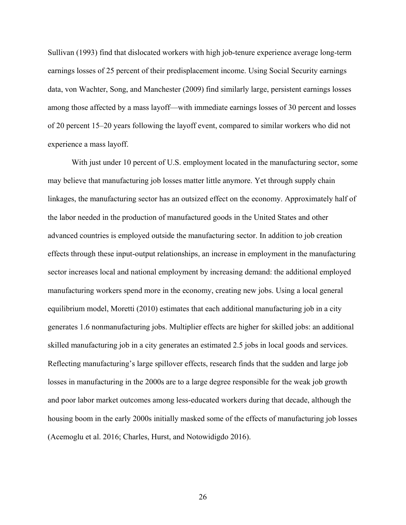Sullivan (1993) find that dislocated workers with high job-tenure experience average long-term earnings losses of 25 percent of their predisplacement income. Using Social Security earnings data, von Wachter, Song, and Manchester (2009) find similarly large, persistent earnings losses among those affected by a mass layoff—with immediate earnings losses of 30 percent and losses of 20 percent 15–20 years following the layoff event, compared to similar workers who did not experience a mass layoff.

With just under 10 percent of U.S. employment located in the manufacturing sector, some may believe that manufacturing job losses matter little anymore. Yet through supply chain linkages, the manufacturing sector has an outsized effect on the economy. Approximately half of the labor needed in the production of manufactured goods in the United States and other advanced countries is employed outside the manufacturing sector. In addition to job creation effects through these input-output relationships, an increase in employment in the manufacturing sector increases local and national employment by increasing demand: the additional employed manufacturing workers spend more in the economy, creating new jobs. Using a local general equilibrium model, Moretti (2010) estimates that each additional manufacturing job in a city generates 1.6 nonmanufacturing jobs. Multiplier effects are higher for skilled jobs: an additional skilled manufacturing job in a city generates an estimated 2.5 jobs in local goods and services. Reflecting manufacturing's large spillover effects, research finds that the sudden and large job losses in manufacturing in the 2000s are to a large degree responsible for the weak job growth and poor labor market outcomes among less-educated workers during that decade, although the housing boom in the early 2000s initially masked some of the effects of manufacturing job losses (Acemoglu et al. 2016; Charles, Hurst, and Notowidigdo 2016).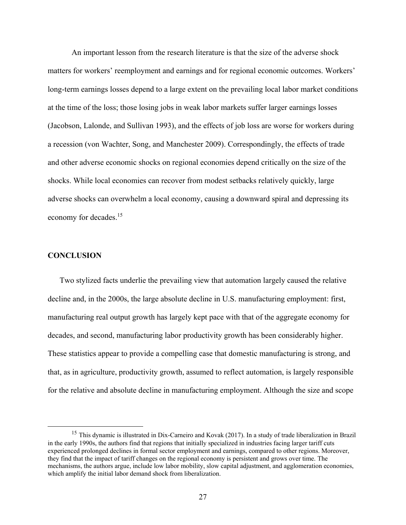An important lesson from the research literature is that the size of the adverse shock matters for workers' reemployment and earnings and for regional economic outcomes. Workers' long-term earnings losses depend to a large extent on the prevailing local labor market conditions at the time of the loss; those losing jobs in weak labor markets suffer larger earnings losses (Jacobson, Lalonde, and Sullivan 1993), and the effects of job loss are worse for workers during a recession (von Wachter, Song, and Manchester 2009). Correspondingly, the effects of trade and other adverse economic shocks on regional economies depend critically on the size of the shocks. While local economies can recover from modest setbacks relatively quickly, large adverse shocks can overwhelm a local economy, causing a downward spiral and depressing its economy for decades.<sup>15</sup>

#### **CONCLUSION**

 $\overline{a}$ 

Two stylized facts underlie the prevailing view that automation largely caused the relative decline and, in the 2000s, the large absolute decline in U.S. manufacturing employment: first, manufacturing real output growth has largely kept pace with that of the aggregate economy for decades, and second, manufacturing labor productivity growth has been considerably higher. These statistics appear to provide a compelling case that domestic manufacturing is strong, and that, as in agriculture, productivity growth, assumed to reflect automation, is largely responsible for the relative and absolute decline in manufacturing employment. Although the size and scope

<sup>&</sup>lt;sup>15</sup> This dynamic is illustrated in Dix-Carneiro and Kovak (2017). In a study of trade liberalization in Brazil in the early 1990s, the authors find that regions that initially specialized in industries facing larger tariff cuts experienced prolonged declines in formal sector employment and earnings, compared to other regions. Moreover, they find that the impact of tariff changes on the regional economy is persistent and grows over time. The mechanisms, the authors argue, include low labor mobility, slow capital adjustment, and agglomeration economies, which amplify the initial labor demand shock from liberalization.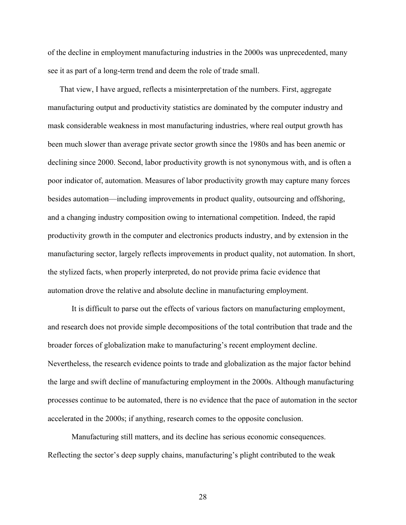of the decline in employment manufacturing industries in the 2000s was unprecedented, many see it as part of a long-term trend and deem the role of trade small.

That view, I have argued, reflects a misinterpretation of the numbers. First, aggregate manufacturing output and productivity statistics are dominated by the computer industry and mask considerable weakness in most manufacturing industries, where real output growth has been much slower than average private sector growth since the 1980s and has been anemic or declining since 2000. Second, labor productivity growth is not synonymous with, and is often a poor indicator of, automation. Measures of labor productivity growth may capture many forces besides automation—including improvements in product quality, outsourcing and offshoring, and a changing industry composition owing to international competition. Indeed, the rapid productivity growth in the computer and electronics products industry, and by extension in the manufacturing sector, largely reflects improvements in product quality, not automation. In short, the stylized facts, when properly interpreted, do not provide prima facie evidence that automation drove the relative and absolute decline in manufacturing employment.

It is difficult to parse out the effects of various factors on manufacturing employment, and research does not provide simple decompositions of the total contribution that trade and the broader forces of globalization make to manufacturing's recent employment decline. Nevertheless, the research evidence points to trade and globalization as the major factor behind the large and swift decline of manufacturing employment in the 2000s. Although manufacturing processes continue to be automated, there is no evidence that the pace of automation in the sector accelerated in the 2000s; if anything, research comes to the opposite conclusion.

Manufacturing still matters, and its decline has serious economic consequences. Reflecting the sector's deep supply chains, manufacturing's plight contributed to the weak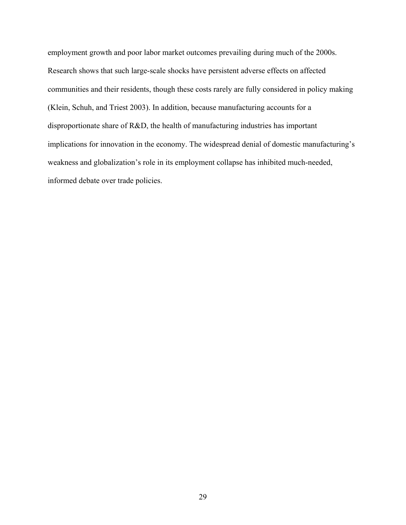employment growth and poor labor market outcomes prevailing during much of the 2000s. Research shows that such large-scale shocks have persistent adverse effects on affected communities and their residents, though these costs rarely are fully considered in policy making (Klein, Schuh, and Triest 2003). In addition, because manufacturing accounts for a disproportionate share of R&D, the health of manufacturing industries has important implications for innovation in the economy. The widespread denial of domestic manufacturing's weakness and globalization's role in its employment collapse has inhibited much-needed, informed debate over trade policies.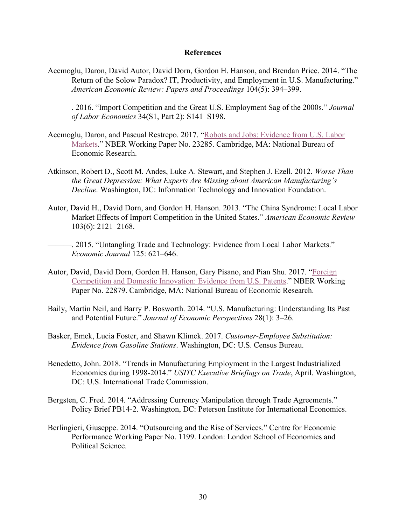#### **References**

- Acemoglu, Daron, David Autor, David Dorn, Gordon H. Hanson, and Brendan Price. 2014. "The Return of the Solow Paradox? IT, Productivity, and Employment in U.S. Manufacturing." *American Economic Review: Papers and Proceedings* 104(5): 394–399.
	- ———. 2016. "Import Competition and the Great U.S. Employment Sag of the 2000s." *Journal of Labor Economics* 34(S1, Part 2): S141–S198.
- Acemoglu, Daron, and Pascual Restrepo. 2017. "[Robots and Jobs: Evidence from U.S.](http://www.nber.org/papers/w23285) Labor [Markets](http://www.nber.org/papers/w23285)." NBER Working Paper No. 23285. Cambridge, MA: National Bureau of Economic Research.
- Atkinson, Robert D., Scott M. Andes, Luke A. Stewart, and Stephen J. Ezell. 2012. *Worse Than the Great Depression: What Experts Are Missing about American Manufacturing's Decline.* Washington, DC: Information Technology and Innovation Foundation.
- Autor, David H., David Dorn, and Gordon H. Hanson. 2013. "The China Syndrome: Local Labor Market Effects of Import Competition in the United States." *American Economic Review* 103(6): 2121–2168.
- -. 2015. "Untangling Trade and Technology: Evidence from Local Labor Markets." *Economic Journal* 125: 621–646.
- Autor, David, David Dorn, Gordon H. Hanson, Gary Pisano, and Pian Shu. 2017. "[Foreign](http://www.nber.org/papers/w22879)  [Competition and Domestic Innovation: Evidence from U.S. Patents](http://www.nber.org/papers/w22879)." NBER Working Paper No. 22879. Cambridge, MA: National Bureau of Economic Research.
- Baily, Martin Neil, and Barry P. Bosworth. 2014. "U.S. Manufacturing: Understanding Its Past and Potential Future." *Journal of Economic Perspectives* 28(1): 3–26.
- Basker, Emek, Lucia Foster, and Shawn Klimek. 2017. *Customer-Employee Substitution: Evidence from Gasoline Stations*. Washington, DC: U.S. Census Bureau.
- Benedetto, John. 2018. "Trends in Manufacturing Employment in the Largest Industrialized Economies during 1998-2014." *USITC Executive Briefings on Trade*, April. Washington, DC: U.S. International Trade Commission.
- Bergsten, C. Fred. 2014. "Addressing Currency Manipulation through Trade Agreements." Policy Brief PB14-2. Washington, DC: Peterson Institute for International Economics.
- Berlingieri, Giuseppe. 2014. "Outsourcing and the Rise of Services." Centre for Economic Performance Working Paper No. 1199. London: London School of Economics and Political Science.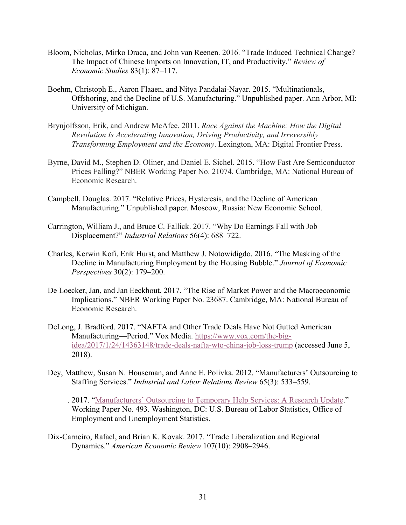- Bloom, Nicholas, Mirko Draca, and John van Reenen. 2016. "Trade Induced Technical Change? The Impact of Chinese Imports on Innovation, IT, and Productivity." *Review of Economic Studies* 83(1): 87–117.
- Boehm, Christoph E., Aaron Flaaen, and Nitya Pandalai-Nayar. 2015. "Multinationals, Offshoring, and the Decline of U.S. Manufacturing." Unpublished paper. Ann Arbor, MI: University of Michigan.
- Brynjolfsson, Erik, and Andrew McAfee. 2011. *Race Against the Machine: How the Digital Revolution Is Accelerating Innovation, Driving Productivity, and Irreversibly Transforming Employment and the Economy*. Lexington, MA: Digital Frontier Press.
- Byrne, David M., Stephen D. Oliner, and Daniel E. Sichel. 2015. "How Fast Are Semiconductor Prices Falling?" NBER Working Paper No. 21074. Cambridge, MA: National Bureau of Economic Research.
- Campbell, Douglas. 2017. "Relative Prices, Hysteresis, and the Decline of American Manufacturing." Unpublished paper. Moscow, Russia: New Economic School.
- Carrington, William J., and Bruce C. Fallick. 2017. "Why Do Earnings Fall with Job Displacement?" *Industrial Relations* 56(4): 688–722.
- Charles, Kerwin Kofi, Erik Hurst, and Matthew J. Notowidigdo. 2016. "The Masking of the Decline in Manufacturing Employment by the Housing Bubble." *Journal of Economic Perspectives* 30(2): 179–200.
- De Loecker, Jan, and Jan Eeckhout. 2017. "The Rise of Market Power and the Macroeconomic Implications." NBER Working Paper No. 23687. Cambridge, MA: National Bureau of Economic Research.
- DeLong, J. Bradford. 2017. "NAFTA and Other Trade Deals Have Not Gutted American Manufacturing—Period." Vox Media. [https://www.vox.com/the-big](https://www.vox.com/the-big-idea/2017/1/24/14363148/trade-deals-nafta-wto-china-job-loss-trump)[idea/2017/1/24/14363148/trade-deals-nafta-wto-china-job-loss-trump](https://www.vox.com/the-big-idea/2017/1/24/14363148/trade-deals-nafta-wto-china-job-loss-trump) (accessed June 5, 2018).
- Dey, Matthew, Susan N. Houseman, and Anne E. Polivka. 2012. "Manufacturers' Outsourcing to Staffing Services." *Industrial and Labor Relations Review* 65(3): 533–559.
	- \_\_\_\_\_. 2017. ["Manufacturers' Outsourcing to Temporary Help Services: A Research Update](https://www.bls.gov/osmr/pdf/ec170010.pdf)." Working Paper No. 493. Washington, DC: U.S. Bureau of Labor Statistics, Office of Employment and Unemployment Statistics.
- Dix-Carneiro, Rafael, and Brian K. Kovak. 2017. "Trade Liberalization and Regional Dynamics." *American Economic Review* 107(10): 2908–2946.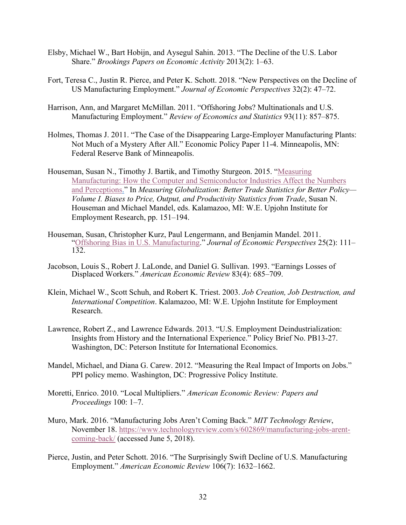- Elsby, Michael W., Bart Hobijn, and Aysegul Sahin. 2013. "The Decline of the U.S. Labor Share." *Brookings Papers on Economic Activity* 2013(2): 1–63.
- Fort, Teresa C., Justin R. Pierce, and Peter K. Schott. 2018. "New Perspectives on the Decline of US Manufacturing Employment." *Journal of Economic Perspectives* 32(2): 47–72.
- Harrison, Ann, and Margaret McMillan. 2011. "Offshoring Jobs? Multinationals and U.S. Manufacturing Employment." *Review of Economics and Statistics* 93(11): 857–875.
- Holmes, Thomas J. 2011. "The Case of the Disappearing Large-Employer Manufacturing Plants: Not Much of a Mystery After All." Economic Policy Paper 11-4. Minneapolis, MN: Federal Reserve Bank of Minneapolis.
- Houseman, Susan N., Timothy J. Bartik, and Timothy Sturgeon. 2015. "[Measuring](http://research.upjohn.org/up_press/232/)  [Manufacturing: How the Computer and Semiconductor Industries Affect the Numbers](http://research.upjohn.org/up_press/232/)  [and Perceptions.](http://research.upjohn.org/up_press/232/)" In *Measuring Globalization: Better Trade Statistics for Better Policy— Volume I. Biases to Price, Output, and Productivity Statistics from Trade*, Susan N. Houseman and Michael Mandel, eds. Kalamazoo, MI: W.E. Upjohn Institute for Employment Research, pp. 151–194.
- Houseman, Susan, Christopher Kurz, Paul Lengermann, and Benjamin Mandel. 2011. "[Offshoring Bias in U.S. Manufacturing](http://research.upjohn.org/jrnlarticles/155/)." *Journal of Economic Perspectives* 25(2): 111– 132.
- Jacobson, Louis S., Robert J. LaLonde, and Daniel G. Sullivan. 1993. "Earnings Losses of Displaced Workers." *American Economic Review* 83(4): 685–709.
- Klein, Michael W., Scott Schuh, and Robert K. Triest. 2003. *Job Creation, Job Destruction, and International Competition*. Kalamazoo, MI: W.E. Upjohn Institute for Employment Research.
- Lawrence, Robert Z., and Lawrence Edwards. 2013. "U.S. Employment Deindustrialization: Insights from History and the International Experience." Policy Brief No. PB13-27. Washington, DC: Peterson Institute for International Economics.
- Mandel, Michael, and Diana G. Carew. 2012. "Measuring the Real Impact of Imports on Jobs." PPI policy memo. Washington, DC: Progressive Policy Institute.
- Moretti, Enrico. 2010. "Local Multipliers." *American Economic Review: Papers and Proceedings* 100: 1–7.
- Muro, Mark. 2016. "Manufacturing Jobs Aren't Coming Back." *MIT Technology Review*, November 18. [https://www.technologyreview.com/s/602869/manufacturing-jobs-arent](https://www.technologyreview.com/s/602869/manufacturing-jobs-arent-coming-back/)[coming-back/](https://www.technologyreview.com/s/602869/manufacturing-jobs-arent-coming-back/) (accessed June 5, 2018).
- Pierce, Justin, and Peter Schott. 2016. "The Surprisingly Swift Decline of U.S. Manufacturing Employment." *American Economic Review* 106(7): 1632–1662.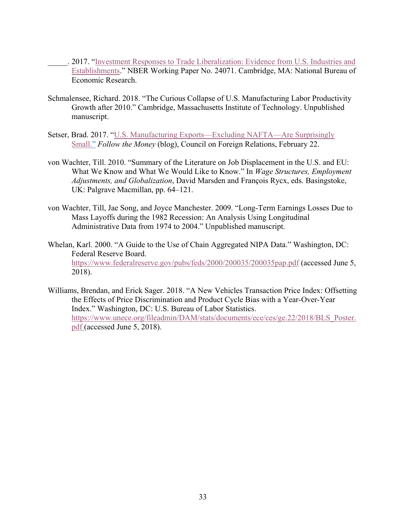- \_\_\_\_\_. 2017. "[Investment Responses to Trade Liberalization: Evidence from U.S. Industries and](http://www.nber.org/papers/w24071)  [Establishments](http://www.nber.org/papers/w24071)." NBER Working Paper No. 24071. Cambridge, MA: National Bureau of Economic Research.
- Schmalensee, Richard. 2018. "The Curious Collapse of U.S. Manufacturing Labor Productivity Growth after 2010." Cambridge, Massachusetts Institute of Technology. Unpublished manuscript.
- Setser, Brad. 2017. "[U.S. Manufacturing Exports](https://www.cfr.org/blog/us-manufacturing-exports-excluding-nafta-are-surprisingly-small)—Excluding NAFTA—Are Surprisingly [Small.](https://www.cfr.org/blog/us-manufacturing-exports-excluding-nafta-are-surprisingly-small)" *Follow the Money* (blog), Council on Foreign Relations, February 22.
- von Wachter, Till. 2010. "Summary of the Literature on Job Displacement in the U.S. and EU: What We Know and What We Would Like to Know." In *Wage Structures, Employment Adjustments, and Globalization*, David Marsden and François Rycx, eds. Basingstoke, UK: Palgrave Macmillan, pp. 64–121.
- von Wachter, Till, Jae Song, and Joyce Manchester. 2009. "Long-Term Earnings Losses Due to Mass Layoffs during the 1982 Recession: An Analysis Using Longitudinal Administrative Data from 1974 to 2004." Unpublished manuscript.
- Whelan, Karl. 2000. "A Guide to the Use of Chain Aggregated NIPA Data." Washington, DC: Federal Reserve Board. <https://www.federalreserve.gov/pubs/feds/2000/200035/200035pap.pdf> (accessed June 5, 2018).
- Williams, Brendan, and Erick Sager. 2018. "A New Vehicles Transaction Price Index: Offsetting the Effects of Price Discrimination and Product Cycle Bias with a Year-Over-Year Index." Washington, DC: U.S. Bureau of Labor Statistics. [https://www.unece.org/fileadmin/DAM/stats/documents/ece/ces/ge.22/2018/BLS\\_Poster.](https://www.unece.org/fileadmin/DAM/stats/documents/ece/ces/ge.22/2018/BLS_Poster.pdf) [pdf](https://www.unece.org/fileadmin/DAM/stats/documents/ece/ces/ge.22/2018/BLS_Poster.pdf) (accessed June 5, 2018).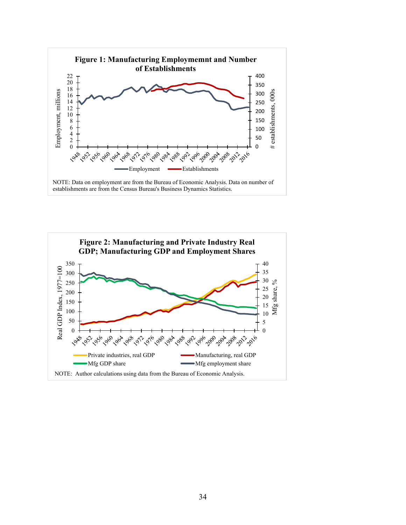

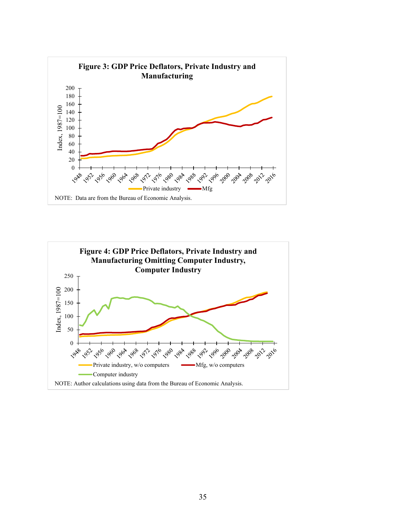

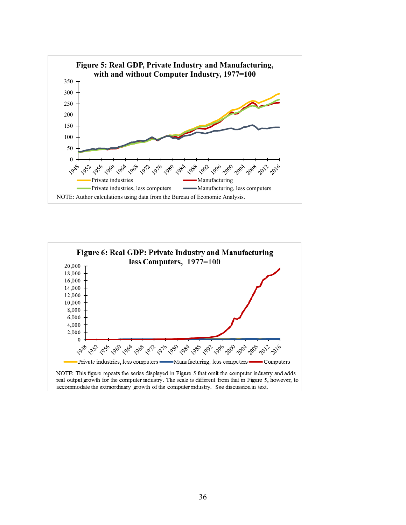